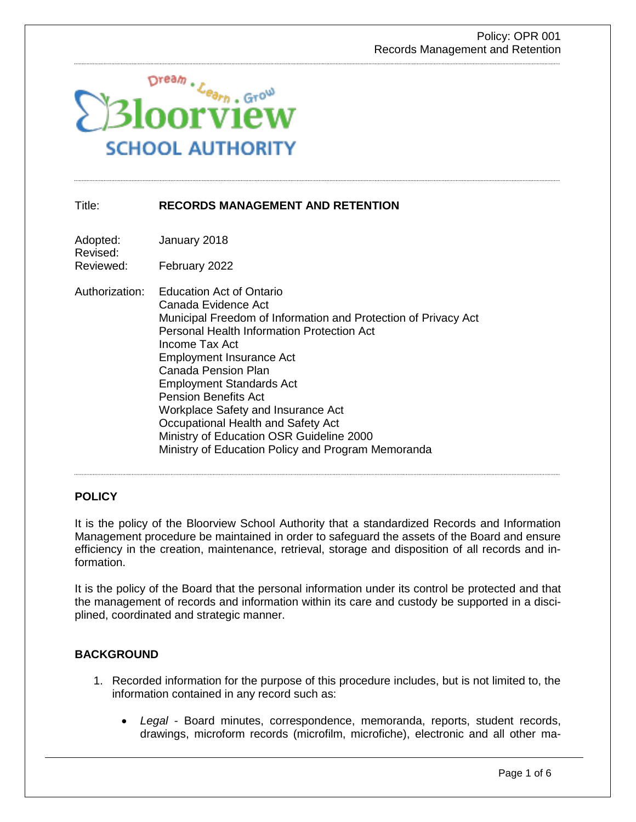

## Title: **RECORDS MANAGEMENT AND RETENTION**

Adopted: January 2018 Revised:

Reviewed: February 2022

Authorization: Education Act of Ontario Canada Evidence Act Municipal Freedom of Information and Protection of Privacy Act Personal Health Information Protection Act Income Tax Act Employment Insurance Act Canada Pension Plan Employment Standards Act Pension Benefits Act Workplace Safety and Insurance Act Occupational Health and Safety Act Ministry of Education OSR Guideline 2000 Ministry of Education Policy and Program Memoranda

## **POLICY**

It is the policy of the Bloorview School Authority that a standardized Records and Information Management procedure be maintained in order to safeguard the assets of the Board and ensure efficiency in the creation, maintenance, retrieval, storage and disposition of all records and information.

It is the policy of the Board that the personal information under its control be protected and that the management of records and information within its care and custody be supported in a disciplined, coordinated and strategic manner.

## **BACKGROUND**

- 1. Recorded information for the purpose of this procedure includes, but is not limited to, the information contained in any record such as:
	- *Legal*  Board minutes, correspondence, memoranda, reports, student records, drawings, microform records (microfilm, microfiche), electronic and all other ma-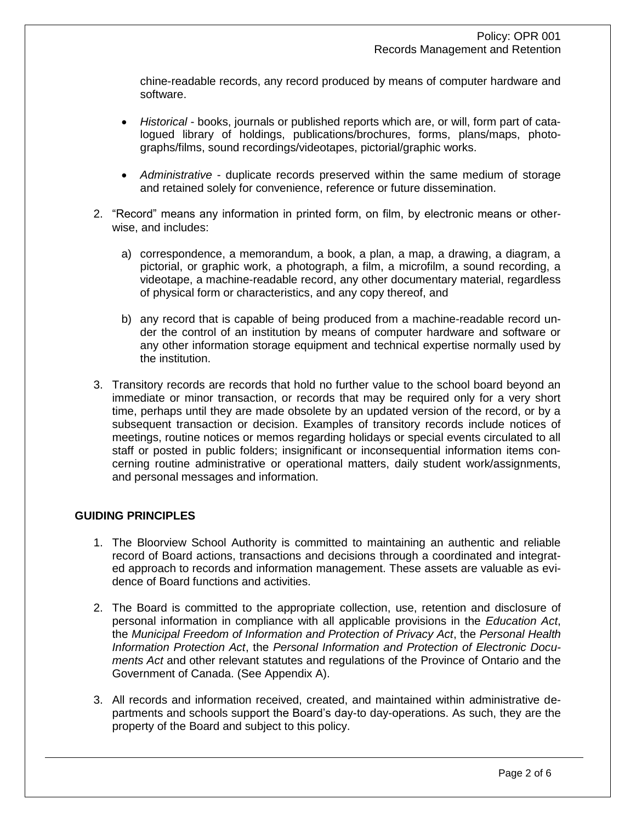chine-readable records, any record produced by means of computer hardware and software.

- *Historical*  books, journals or published reports which are, or will, form part of catalogued library of holdings, publications/brochures, forms, plans/maps, photographs/films, sound recordings/videotapes, pictorial/graphic works.
- *Administrative*  duplicate records preserved within the same medium of storage and retained solely for convenience, reference or future dissemination.
- 2. "Record" means any information in printed form, on film, by electronic means or otherwise, and includes:
	- a) correspondence, a memorandum, a book, a plan, a map, a drawing, a diagram, a pictorial, or graphic work, a photograph, a film, a microfilm, a sound recording, a videotape, a machine-readable record, any other documentary material, regardless of physical form or characteristics, and any copy thereof, and
	- b) any record that is capable of being produced from a machine-readable record under the control of an institution by means of computer hardware and software or any other information storage equipment and technical expertise normally used by the institution.
- 3. Transitory records are records that hold no further value to the school board beyond an immediate or minor transaction, or records that may be required only for a very short time, perhaps until they are made obsolete by an updated version of the record, or by a subsequent transaction or decision. Examples of transitory records include notices of meetings, routine notices or memos regarding holidays or special events circulated to all staff or posted in public folders; insignificant or inconsequential information items concerning routine administrative or operational matters, daily student work/assignments, and personal messages and information.

## **GUIDING PRINCIPLES**

- 1. The Bloorview School Authority is committed to maintaining an authentic and reliable record of Board actions, transactions and decisions through a coordinated and integrated approach to records and information management. These assets are valuable as evidence of Board functions and activities.
- 2. The Board is committed to the appropriate collection, use, retention and disclosure of personal information in compliance with all applicable provisions in the *Education Act*, the *Municipal Freedom of Information and Protection of Privacy Act*, the *Personal Health Information Protection Act*, the *Personal Information and Protection of Electronic Documents Act* and other relevant statutes and regulations of the Province of Ontario and the Government of Canada. (See Appendix A).
- 3. All records and information received, created, and maintained within administrative departments and schools support the Board's day-to day-operations. As such, they are the property of the Board and subject to this policy.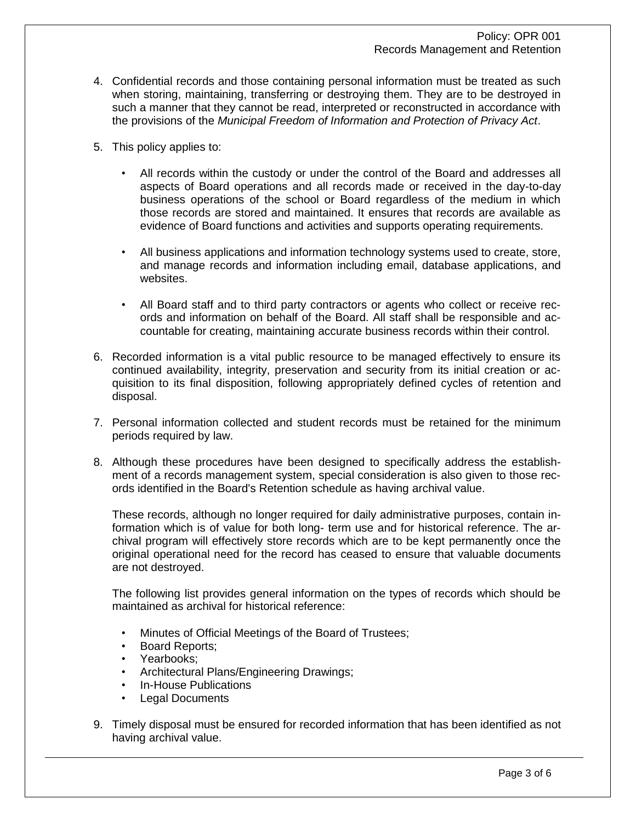- 4. Confidential records and those containing personal information must be treated as such when storing, maintaining, transferring or destroying them. They are to be destroyed in such a manner that they cannot be read, interpreted or reconstructed in accordance with the provisions of the *Municipal Freedom of Information and Protection of Privacy Act*.
- 5. This policy applies to:
	- All records within the custody or under the control of the Board and addresses all aspects of Board operations and all records made or received in the day-to-day business operations of the school or Board regardless of the medium in which those records are stored and maintained. It ensures that records are available as evidence of Board functions and activities and supports operating requirements.
	- All business applications and information technology systems used to create, store, and manage records and information including email, database applications, and websites.
	- All Board staff and to third party contractors or agents who collect or receive records and information on behalf of the Board. All staff shall be responsible and accountable for creating, maintaining accurate business records within their control.
- 6. Recorded information is a vital public resource to be managed effectively to ensure its continued availability, integrity, preservation and security from its initial creation or acquisition to its final disposition, following appropriately defined cycles of retention and disposal.
- 7. Personal information collected and student records must be retained for the minimum periods required by law.
- 8. Although these procedures have been designed to specifically address the establishment of a records management system, special consideration is also given to those records identified in the Board's Retention schedule as having archival value.

These records, although no longer required for daily administrative purposes, contain information which is of value for both long- term use and for historical reference. The archival program will effectively store records which are to be kept permanently once the original operational need for the record has ceased to ensure that valuable documents are not destroyed.

The following list provides general information on the types of records which should be maintained as archival for historical reference:

- Minutes of Official Meetings of the Board of Trustees;
- Board Reports;
- Yearbooks;
- Architectural Plans/Engineering Drawings;
- In-House Publications
- **Legal Documents**
- 9. Timely disposal must be ensured for recorded information that has been identified as not having archival value.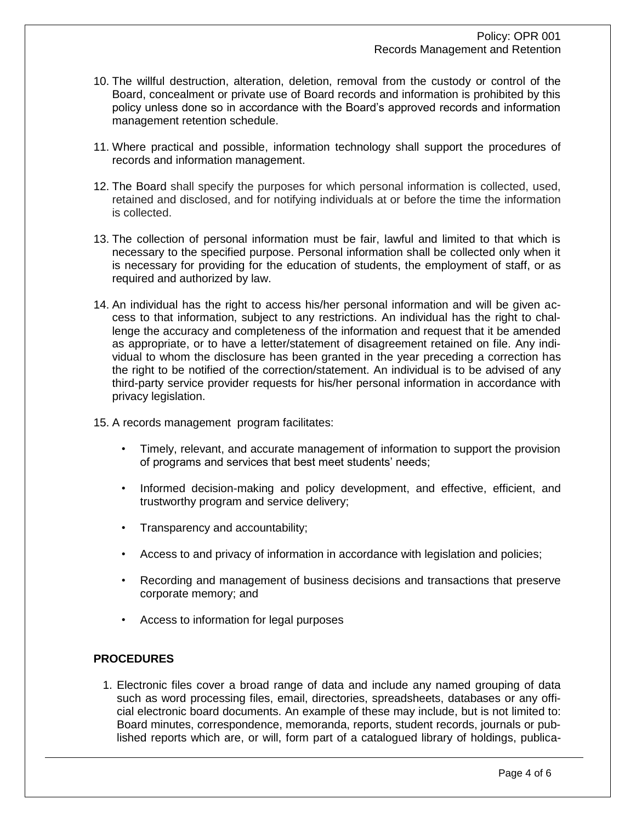- 10. The willful destruction, alteration, deletion, removal from the custody or control of the Board, concealment or private use of Board records and information is prohibited by this policy unless done so in accordance with the Board's approved records and information management retention schedule.
- 11. Where practical and possible, information technology shall support the procedures of records and information management.
- 12. The Board shall specify the purposes for which personal information is collected, used, retained and disclosed, and for notifying individuals at or before the time the information is collected.
- 13. The collection of personal information must be fair, lawful and limited to that which is necessary to the specified purpose. Personal information shall be collected only when it is necessary for providing for the education of students, the employment of staff, or as required and authorized by law.
- 14. An individual has the right to access his/her personal information and will be given access to that information, subject to any restrictions. An individual has the right to challenge the accuracy and completeness of the information and request that it be amended as appropriate, or to have a letter/statement of disagreement retained on file. Any individual to whom the disclosure has been granted in the year preceding a correction has the right to be notified of the correction/statement. An individual is to be advised of any third-party service provider requests for his/her personal information in accordance with privacy legislation.
- 15. A records management program facilitates:
	- Timely, relevant, and accurate management of information to support the provision of programs and services that best meet students' needs;
	- Informed decision-making and policy development, and effective, efficient, and trustworthy program and service delivery;
	- Transparency and accountability;
	- Access to and privacy of information in accordance with legislation and policies;
	- Recording and management of business decisions and transactions that preserve corporate memory; and
	- Access to information for legal purposes

# **PROCEDURES**

1. Electronic files cover a broad range of data and include any named grouping of data such as word processing files, email, directories, spreadsheets, databases or any official electronic board documents. An example of these may include, but is not limited to: Board minutes, correspondence, memoranda, reports, student records, journals or published reports which are, or will, form part of a catalogued library of holdings, publica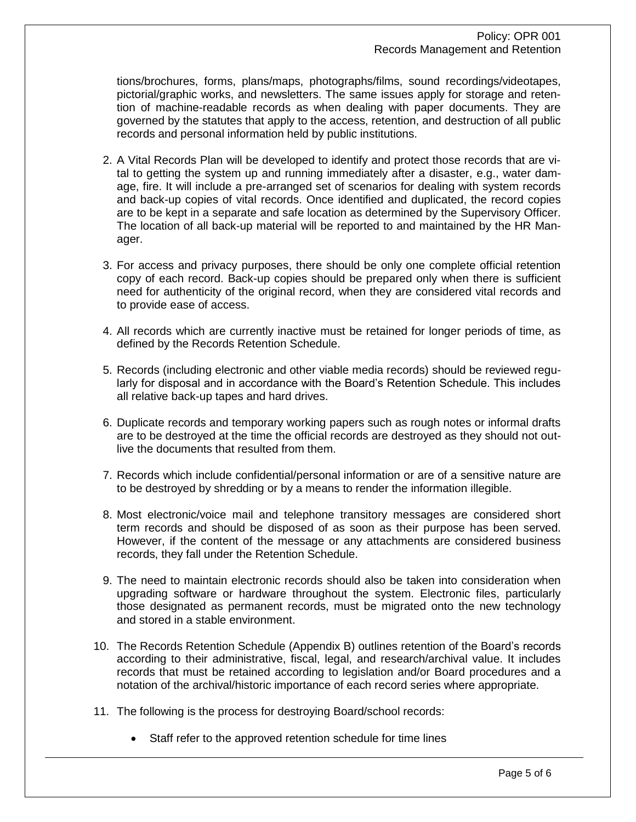tions/brochures, forms, plans/maps, photographs/films, sound recordings/videotapes, pictorial/graphic works, and newsletters. The same issues apply for storage and retention of machine-readable records as when dealing with paper documents. They are governed by the statutes that apply to the access, retention, and destruction of all public records and personal information held by public institutions.

- 2. A Vital Records Plan will be developed to identify and protect those records that are vital to getting the system up and running immediately after a disaster, e.g., water damage, fire. It will include a pre-arranged set of scenarios for dealing with system records and back-up copies of vital records. Once identified and duplicated, the record copies are to be kept in a separate and safe location as determined by the Supervisory Officer. The location of all back-up material will be reported to and maintained by the HR Manager.
- 3. For access and privacy purposes, there should be only one complete official retention copy of each record. Back-up copies should be prepared only when there is sufficient need for authenticity of the original record, when they are considered vital records and to provide ease of access.
- 4. All records which are currently inactive must be retained for longer periods of time, as defined by the Records Retention Schedule.
- 5. Records (including electronic and other viable media records) should be reviewed regularly for disposal and in accordance with the Board's Retention Schedule. This includes all relative back-up tapes and hard drives.
- 6. Duplicate records and temporary working papers such as rough notes or informal drafts are to be destroyed at the time the official records are destroyed as they should not outlive the documents that resulted from them.
- 7. Records which include confidential/personal information or are of a sensitive nature are to be destroyed by shredding or by a means to render the information illegible.
- 8. Most electronic/voice mail and telephone transitory messages are considered short term records and should be disposed of as soon as their purpose has been served. However, if the content of the message or any attachments are considered business records, they fall under the Retention Schedule.
- 9. The need to maintain electronic records should also be taken into consideration when upgrading software or hardware throughout the system. Electronic files, particularly those designated as permanent records, must be migrated onto the new technology and stored in a stable environment.
- 10. The Records Retention Schedule (Appendix B) outlines retention of the Board's records according to their administrative, fiscal, legal, and research/archival value. It includes records that must be retained according to legislation and/or Board procedures and a notation of the archival/historic importance of each record series where appropriate.
- 11. The following is the process for destroying Board/school records:
	- Staff refer to the approved retention schedule for time lines